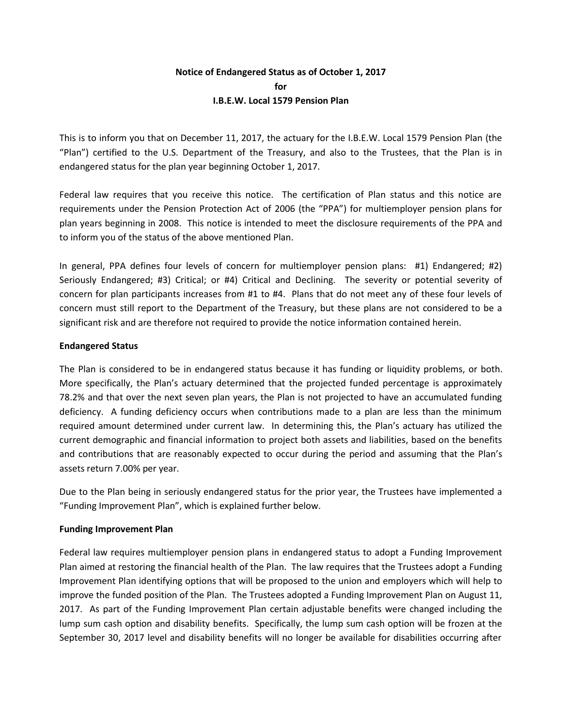## **Notice of Endangered Status as of October 1, 2017 for I.B.E.W. Local 1579 Pension Plan**

This is to inform you that on December 11, 2017, the actuary for the I.B.E.W. Local 1579 Pension Plan (the "Plan") certified to the U.S. Department of the Treasury, and also to the Trustees, that the Plan is in endangered status for the plan year beginning October 1, 2017.

Federal law requires that you receive this notice. The certification of Plan status and this notice are requirements under the Pension Protection Act of 2006 (the "PPA") for multiemployer pension plans for plan years beginning in 2008. This notice is intended to meet the disclosure requirements of the PPA and to inform you of the status of the above mentioned Plan.

In general, PPA defines four levels of concern for multiemployer pension plans: #1) Endangered; #2) Seriously Endangered; #3) Critical; or #4) Critical and Declining. The severity or potential severity of concern for plan participants increases from #1 to #4. Plans that do not meet any of these four levels of concern must still report to the Department of the Treasury, but these plans are not considered to be a significant risk and are therefore not required to provide the notice information contained herein.

## **Endangered Status**

The Plan is considered to be in endangered status because it has funding or liquidity problems, or both. More specifically, the Plan's actuary determined that the projected funded percentage is approximately 78.2% and that over the next seven plan years, the Plan is not projected to have an accumulated funding deficiency. A funding deficiency occurs when contributions made to a plan are less than the minimum required amount determined under current law. In determining this, the Plan's actuary has utilized the current demographic and financial information to project both assets and liabilities, based on the benefits and contributions that are reasonably expected to occur during the period and assuming that the Plan's assets return 7.00% per year.

Due to the Plan being in seriously endangered status for the prior year, the Trustees have implemented a "Funding Improvement Plan", which is explained further below.

## **Funding Improvement Plan**

Federal law requires multiemployer pension plans in endangered status to adopt a Funding Improvement Plan aimed at restoring the financial health of the Plan. The law requires that the Trustees adopt a Funding Improvement Plan identifying options that will be proposed to the union and employers which will help to improve the funded position of the Plan. The Trustees adopted a Funding Improvement Plan on August 11, 2017. As part of the Funding Improvement Plan certain adjustable benefits were changed including the lump sum cash option and disability benefits. Specifically, the lump sum cash option will be frozen at the September 30, 2017 level and disability benefits will no longer be available for disabilities occurring after